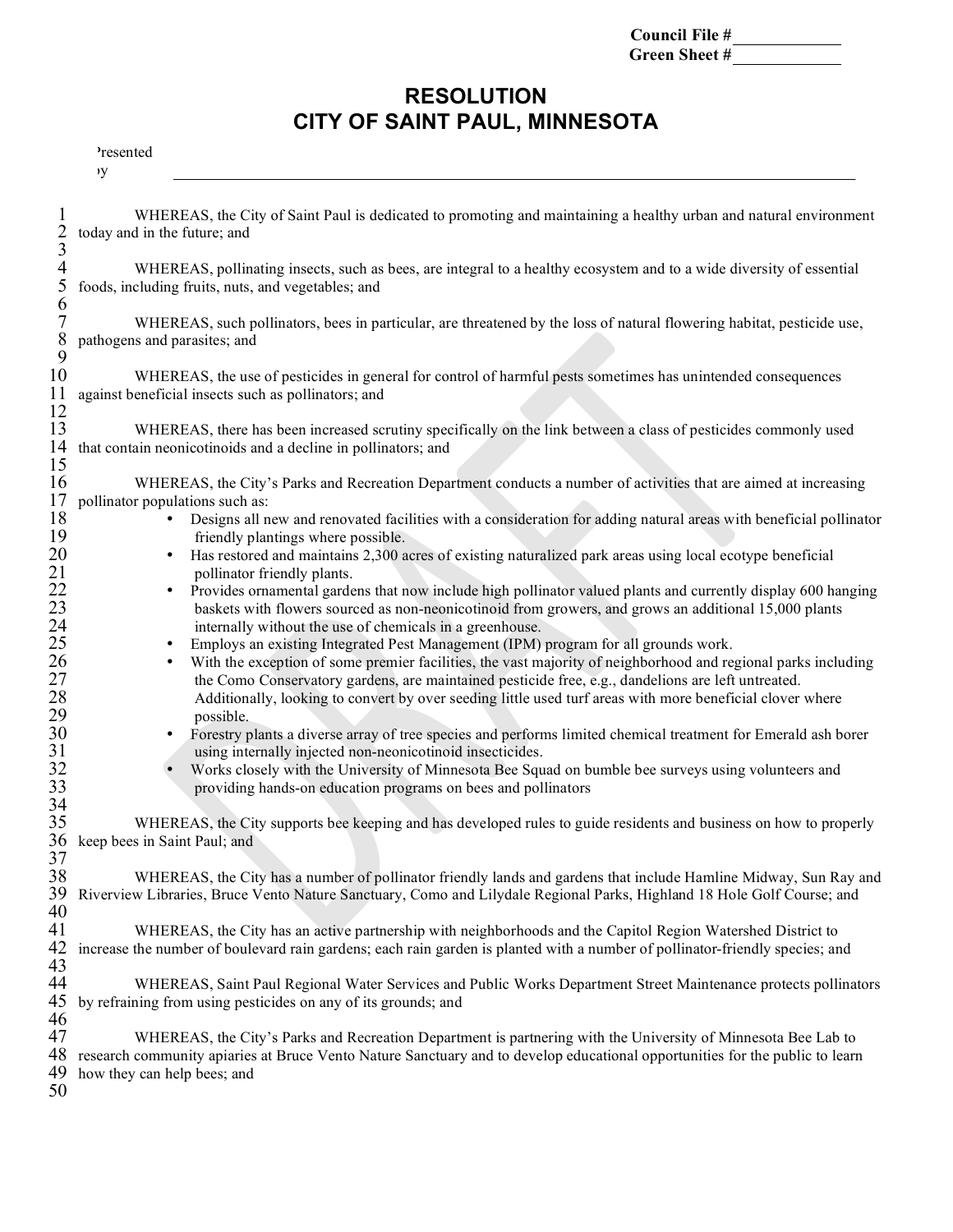| Council File # |  |
|----------------|--|
| Green Sheet #  |  |

## **RESOLUTION CITY OF SAINT PAUL, MINNESOTA**

Presented by

| $\frac{2}{3}$                              | WHEREAS, the City of Saint Paul is dedicated to promoting and maintaining a healthy urban and natural environment<br>today and in the future; and                                                                                                                                                                                                                                                                      |
|--------------------------------------------|------------------------------------------------------------------------------------------------------------------------------------------------------------------------------------------------------------------------------------------------------------------------------------------------------------------------------------------------------------------------------------------------------------------------|
| 4<br>5<br>6                                | WHEREAS, pollinating insects, such as bees, are integral to a healthy ecosystem and to a wide diversity of essential<br>foods, including fruits, nuts, and vegetables; and                                                                                                                                                                                                                                             |
| 7<br>$\begin{array}{c} 8 \\ 9 \end{array}$ | WHEREAS, such pollinators, bees in particular, are threatened by the loss of natural flowering habitat, pesticide use,<br>pathogens and parasites; and                                                                                                                                                                                                                                                                 |
| 10<br>11                                   | WHEREAS, the use of pesticides in general for control of harmful pests sometimes has unintended consequences<br>against beneficial insects such as pollinators; and                                                                                                                                                                                                                                                    |
| 12<br>13<br>14<br>15                       | WHEREAS, there has been increased scrutiny specifically on the link between a class of pesticides commonly used<br>that contain neonicotinoids and a decline in pollinators; and                                                                                                                                                                                                                                       |
| 16<br>17                                   | WHEREAS, the City's Parks and Recreation Department conducts a number of activities that are aimed at increasing                                                                                                                                                                                                                                                                                                       |
| 18                                         | pollinator populations such as:<br>Designs all new and renovated facilities with a consideration for adding natural areas with beneficial pollinator                                                                                                                                                                                                                                                                   |
| 19<br>20                                   | friendly plantings where possible.<br>Has restored and maintains 2,300 acres of existing naturalized park areas using local ecotype beneficial<br>$\bullet$                                                                                                                                                                                                                                                            |
| 21<br>22<br>23<br>24                       | pollinator friendly plants.<br>Provides ornamental gardens that now include high pollinator valued plants and currently display 600 hanging<br>٠<br>baskets with flowers sourced as non-neonicotinoid from growers, and grows an additional 15,000 plants<br>internally without the use of chemicals in a greenhouse.                                                                                                  |
| $\frac{25}{26}$<br>$27\,$<br>28            | Employs an existing Integrated Pest Management (IPM) program for all grounds work.<br>With the exception of some premier facilities, the vast majority of neighborhood and regional parks including<br>the Como Conservatory gardens, are maintained pesticide free, e.g., dandelions are left untreated.<br>Additionally, looking to convert by over seeding little used turf areas with more beneficial clover where |
| 29<br>30<br>31                             | possible.<br>Forestry plants a diverse array of tree species and performs limited chemical treatment for Emerald ash borer<br>using internally injected non-neonicotinoid insecticides.                                                                                                                                                                                                                                |
| 32<br>33<br>34                             | Works closely with the University of Minnesota Bee Squad on bumble bee surveys using volunteers and<br>providing hands-on education programs on bees and pollinators                                                                                                                                                                                                                                                   |
| 35                                         | WHEREAS, the City supports bee keeping and has developed rules to guide residents and business on how to properly                                                                                                                                                                                                                                                                                                      |
| 36<br>37                                   | keep bees in Saint Paul; and                                                                                                                                                                                                                                                                                                                                                                                           |
| 38<br>39<br>40                             | WHEREAS, the City has a number of pollinator friendly lands and gardens that include Hamline Midway, Sun Ray and<br>Riverview Libraries, Bruce Vento Nature Sanctuary, Como and Lilydale Regional Parks, Highland 18 Hole Golf Course; and                                                                                                                                                                             |
| 41<br>42<br>43                             | WHEREAS, the City has an active partnership with neighborhoods and the Capitol Region Watershed District to<br>increase the number of boulevard rain gardens; each rain garden is planted with a number of pollinator-friendly species; and                                                                                                                                                                            |
| 44<br>45                                   | WHEREAS, Saint Paul Regional Water Services and Public Works Department Street Maintenance protects pollinators<br>by refraining from using pesticides on any of its grounds; and                                                                                                                                                                                                                                      |
| 46<br>47<br>48<br>49<br>50                 | WHEREAS, the City's Parks and Recreation Department is partnering with the University of Minnesota Bee Lab to<br>research community apiaries at Bruce Vento Nature Sanctuary and to develop educational opportunities for the public to learn<br>how they can help bees; and                                                                                                                                           |